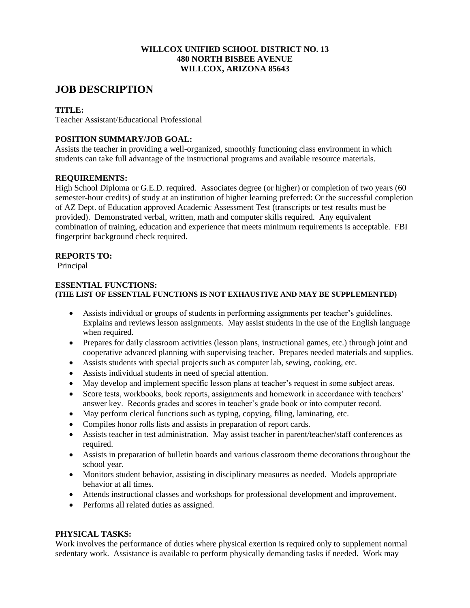#### **WILLCOX UNIFIED SCHOOL DISTRICT NO. 13 480 NORTH BISBEE AVENUE WILLCOX, ARIZONA 85643**

# **JOB DESCRIPTION**

# **TITLE:**

Teacher Assistant/Educational Professional

# **POSITION SUMMARY/JOB GOAL:**

Assists the teacher in providing a well-organized, smoothly functioning class environment in which students can take full advantage of the instructional programs and available resource materials.

## **REQUIREMENTS:**

High School Diploma or G.E.D. required. Associates degree (or higher) or completion of two years (60 semester-hour credits) of study at an institution of higher learning preferred: Or the successful completion of AZ Dept. of Education approved Academic Assessment Test (transcripts or test results must be provided). Demonstrated verbal, written, math and computer skills required. Any equivalent combination of training, education and experience that meets minimum requirements is acceptable. FBI fingerprint background check required.

## **REPORTS TO:**

Principal

## **ESSENTIAL FUNCTIONS: (THE LIST OF ESSENTIAL FUNCTIONS IS NOT EXHAUSTIVE AND MAY BE SUPPLEMENTED)**

- Assists individual or groups of students in performing assignments per teacher's guidelines. Explains and reviews lesson assignments. May assist students in the use of the English language when required.
- Prepares for daily classroom activities (lesson plans, instructional games, etc.) through joint and cooperative advanced planning with supervising teacher. Prepares needed materials and supplies.
- Assists students with special projects such as computer lab, sewing, cooking, etc.
- Assists individual students in need of special attention.
- May develop and implement specific lesson plans at teacher's request in some subject areas.
- Score tests, workbooks, book reports, assignments and homework in accordance with teachers' answer key. Records grades and scores in teacher's grade book or into computer record.
- May perform clerical functions such as typing, copying, filing, laminating, etc.
- Compiles honor rolls lists and assists in preparation of report cards.
- Assists teacher in test administration. May assist teacher in parent/teacher/staff conferences as required.
- Assists in preparation of bulletin boards and various classroom theme decorations throughout the school year.
- Monitors student behavior, assisting in disciplinary measures as needed. Models appropriate behavior at all times.
- Attends instructional classes and workshops for professional development and improvement.
- Performs all related duties as assigned.

# **PHYSICAL TASKS:**

Work involves the performance of duties where physical exertion is required only to supplement normal sedentary work. Assistance is available to perform physically demanding tasks if needed. Work may